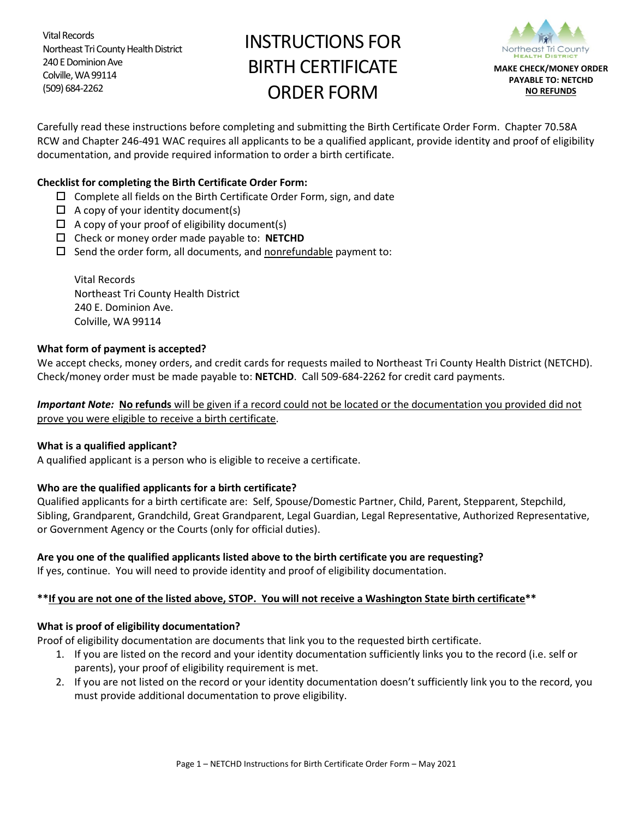Vital Records Northeast Tri County Health District 240 E Dominion Ave Colville, WA 99114 (509) 684-2262

# INSTRUCTIONS FOR BIRTH CERTIFICATE ORDER FORM



Carefully read these instructions before completing and submitting the Birth Certificate Order Form. Chapter 70.58A RCW and Chapter 246-491 WAC requires all applicants to be a qualified applicant, provide identity and proof of eligibility documentation, and provide required information to order a birth certificate.

### **Checklist for completing the Birth Certificate Order Form:**

- $\Box$  Complete all fields on the Birth Certificate Order Form, sign, and date
- $\Box$  A copy of your identity document(s)
- $\Box$  A copy of your proof of eligibility document(s)
- Check or money order made payable to: **NETCHD**
- $\square$  Send the order form, all documents, and nonrefundable payment to:

Vital Records Northeast Tri County Health District 240 E. Dominion Ave. Colville, WA 99114

#### **What form of payment is accepted?**

We accept checks, money orders, and credit cards for requests mailed to Northeast Tri County Health District (NETCHD). Check/money order must be made payable to: **NETCHD**.Call 509-684-2262 for credit card payments.

*Important Note:* **No refunds** will be given if a record could not be located or the documentation you provided did not prove you were eligible to receive a birth certificate.

#### **What is a qualified applicant?**

A qualified applicant is a person who is eligible to receive a certificate.

## **Who are the qualified applicants for a birth certificate?**

Qualified applicants for a birth certificate are: Self, Spouse/Domestic Partner, Child, Parent, Stepparent, Stepchild, Sibling, Grandparent, Grandchild, Great Grandparent, Legal Guardian, Legal Representative, Authorized Representative, or Government Agency or the Courts (only for official duties).

## **Are you one of the qualified applicants listed above to the birth certificate you are requesting?**

If yes, continue. You will need to provide identity and proof of eligibility documentation.

## **\*\*If you are not one of the listed above, STOP. You will not receive a Washington State birth certificate\*\***

#### **What is proof of eligibility documentation?**

Proof of eligibility documentation are documents that link you to the requested birth certificate.

- 1. If you are listed on the record and your identity documentation sufficiently links you to the record (i.e. self or parents), your proof of eligibility requirement is met.
- 2. If you are not listed on the record or your identity documentation doesn't sufficiently link you to the record, you must provide additional documentation to prove eligibility.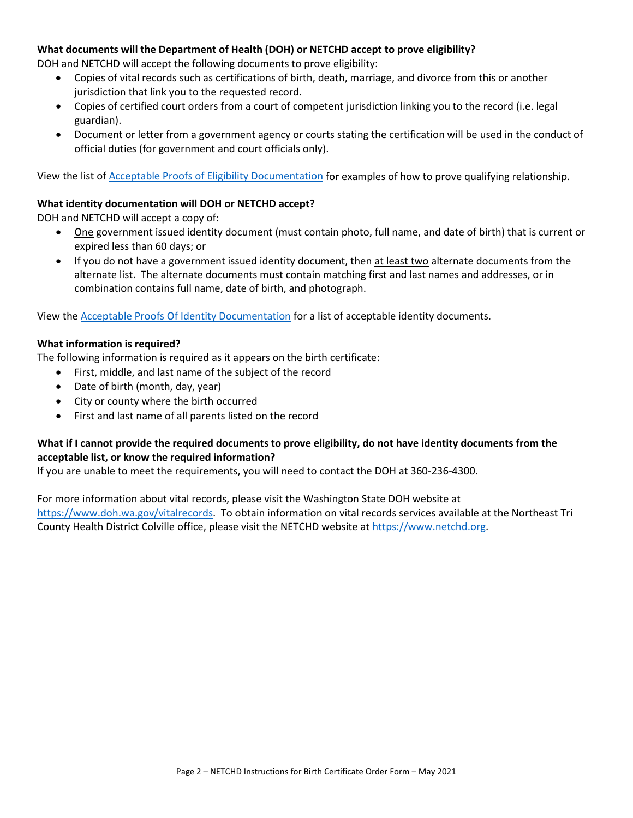#### **What documents will the Department of Health (DOH) or NETCHD accept to prove eligibility?**

DOH and NETCHD will accept the following documents to prove eligibility:

- Copies of vital records such as certifications of birth, death, marriage, and divorce from this or another jurisdiction that link you to the requested record.
- Copies of certified court orders from a court of competent jurisdiction linking you to the record (i.e. legal guardian).
- Document or letter from a government agency or courts stating the certification will be used in the conduct of official duties (for government and court officials only).

View the list of [Acceptable Proofs of Eligibility Documentation](https://www.doh.wa.gov/Portals/1/Documents/Pubs/422-178-AcceptableProofsOfEligibilityDocument.pdf?ver=2020-10-05-114951-737) for examples of how to prove qualifying relationship.

### **What identity documentation will DOH or NETCHD accept?**

DOH and NETCHD will accept a copy of:

- One government issued identity document (must contain photo, full name, and date of birth) that is current or expired less than 60 days; or
- If you do not have a government issued identity document, then at least two alternate documents from the alternate list. The alternate documents must contain matching first and last names and addresses, or in combination contains full name, date of birth, and photograph.

View the Acceptable Proofs Of Identity [Documentation](https://www.doh.wa.gov/Portals/1/Documents/Pubs/422-177-AcceptableProofsOfIdentityDocuments.pdf) for a list of acceptable identity documents.

#### **What information is required?**

The following information is required as it appears on the birth certificate:

- First, middle, and last name of the subject of the record
- Date of birth (month, day, year)
- City or county where the birth occurred
- First and last name of all parents listed on the record

## **What if I cannot provide the required documents to prove eligibility, do not have identity documents from the acceptable list, or know the required information?**

If you are unable to meet the requirements, you will need to contact the DOH at 360-236-4300.

For more information about vital records, please visit the Washington State DOH website at [https://www.doh.wa.gov/vitalrecords.](https://www.doh.wa.gov/vitalrecords) To obtain information on vital records services available at the Northeast Tri County Health District Colville office, please visit the NETCHD website at [https://www.netchd.org.](https://www.netchd.org/)